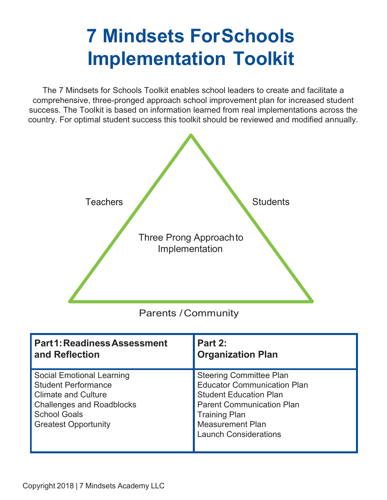# **7 Mindsets ForSchools Implementation Toolkit**

The 7 Mindsets for Schools Toolkit enables school leaders to create and facilitate a comprehensive, three-pronged approach school improvement plan for increased student success. The Toolkit is based on information learned from real implementations across the country. For optimal student success this toolkit should be reviewed and modified annually.



Parents /Community

| <b>Part1: Readiness Assessment</b>                                                                                                                                                     | Part 2:                                                                                                                                                                                                                      |
|----------------------------------------------------------------------------------------------------------------------------------------------------------------------------------------|------------------------------------------------------------------------------------------------------------------------------------------------------------------------------------------------------------------------------|
| and Reflection                                                                                                                                                                         | <b>Organization Plan</b>                                                                                                                                                                                                     |
| <b>Social Emotional Learning</b><br><b>Student Performance</b><br><b>Climate and Culture</b><br><b>Challenges and Roadblocks</b><br><b>School Goals</b><br><b>Greatest Opportunity</b> | <b>Steering Committee Plan</b><br><b>Educator Communication Plan</b><br><b>Student Education Plan</b><br><b>Parent Communication Plan</b><br><b>Training Plan</b><br><b>Measurement Plan</b><br><b>Launch Considerations</b> |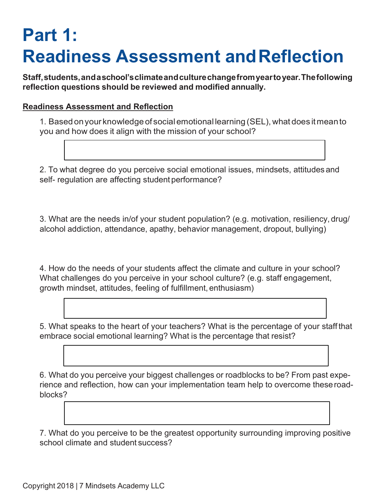## **Part 1: Readiness Assessment andReflection**

**Staff,students,andaschool'sclimateandculturechangefromyeartoyear.Thefollowing reflection questions should be reviewed and modified annually.**

## **Readiness Assessment and Reflection**

1. Based onyour knowledgeof socialemotional learning (SEL), what does itmeanto you and how does it align with the mission of your school?

2. To what degree do you perceive social emotional issues, mindsets, attitudes and self- regulation are affecting student performance?

3. What are the needs in/of your student population? (e.g. motivation, resiliency, drug/ alcohol addiction, attendance, apathy, behavior management, dropout, bullying)

4. How do the needs of your students affect the climate and culture in your school? What challenges do you perceive in your school culture? (e.g. staff engagement, growth mindset, attitudes, feeling of fulfillment, enthusiasm)

5. What speaks to the heart of your teachers? What is the percentage of your staff that embrace social emotional learning? What is the percentage that resist?

6. What do you perceive your biggest challenges or roadblocks to be? From past experience and reflection, how can your implementation team help to overcome theseroadblocks?

7. What do you perceive to be the greatest opportunity surrounding improving positive school climate and student success?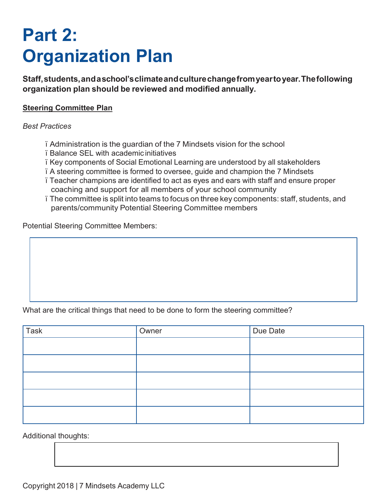## **Part 2: Organization Plan**

**Staff,students,andaschool'sclimateandculturechangefromyeartoyear.Thefollowing organization plan should be reviewed and modified annually.**

### **Steering Committee Plan**

#### *Best Practices*

- ï Administration is the guardian of the 7 Mindsets vision for the school
- ï Balance SEL with academic initiatives
- ï Key components of Social Emotional Learning are understood by all stakeholders
- ï A steering committee is formed to oversee, guide and champion the 7 Mindsets
- ï Teacher champions are identified to act as eyes and ears with staff and ensure proper coaching and support for all members of your school community
- ï The committee is split into teams to focus on three key components: staff, students, and parents/community Potential Steering Committee members

Potential Steering Committee Members:

## What are the critical things that need to be done to form the steering committee?

| <b>Task</b> | Owner | Due Date |
|-------------|-------|----------|
|             |       |          |
|             |       |          |
|             |       |          |
|             |       |          |
|             |       |          |

Additional thoughts: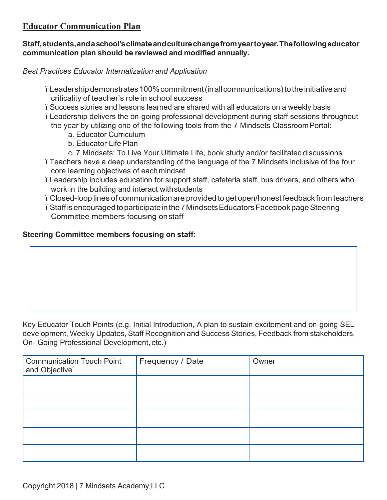## **Educator Communication Plan**

## **Staff,students,andaschool'sclimateandculturechangefromyeartoyear.Thefollowingeducator communication plan should be reviewed and modified annually.**

*Best Practices Educator Internalization and Application*

- i Leadership demonstrates 100% commitment (in all communications) to the initiative and criticality of teacher's role in school success
- ï Success stories and lessons learned are shared with all educators on a weekly basis
- ï Leadership delivers the on-going professional development during staff sessions throughout the year by utilizing one of the following tools from the 7 Mindsets ClassroomPortal:
	- a. Educator Curriculum
	- b. Educator Life Plan
	- c. 7 Mindsets: To Live Your Ultimate Life, book study and/or facilitated discussions
- ï Teachers have a deep understanding of the language of the 7 Mindsets inclusive of the four core learning objectives of eachmindset
- ï Leadership includes education for support staff, cafeteria staff, bus drivers, and others who work in the building and interact withstudents
- ï Closed-loop lines of communication are provided to get open/honest feedback from teachers
- ï Staffisencouragedtoparticipateinthe7MindsetsEducatorsFacebookpageSteering Committee members focusing onstaff

## **Steering Committee members focusing on staff:**

Key Educator Touch Points (e.g. Initial Introduction, A plan to sustain excitement and on-going SEL development, Weekly Updates, Staff Recognition and Success Stories, Feedback from stakeholders, On- Going Professional Development, etc.)

| <b>Communication Touch Point</b><br>and Objective | Frequency / Date | Owner |
|---------------------------------------------------|------------------|-------|
|                                                   |                  |       |
|                                                   |                  |       |
|                                                   |                  |       |
|                                                   |                  |       |
|                                                   |                  |       |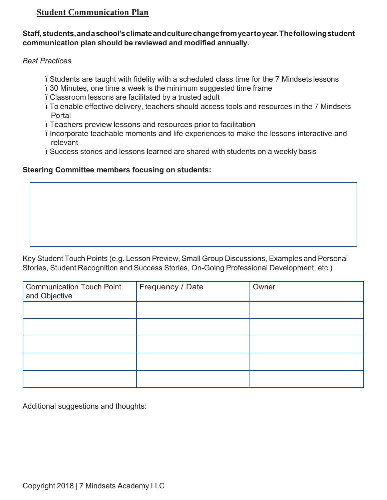## **Student Communication Plan**

### **Staff,students,andaschool'sclimateandculturechangefromyeartoyear.Thefollowingstudent communication plan should be reviewed and modified annually.**

*Best Practices*

- ï Students are taught with fidelity with a scheduled class time for the 7 Mindsets lessons
- ï 30 Minutes, one time a week is the minimum suggested time frame
- ï Classroom lessons are facilitated by a trusted adult
- ï To enable effective delivery, teachers should access tools and resources in the 7 Mindsets Portal
- ï Teachers preview lessons and resources prior to facilitation
- ï Incorporate teachable moments and life experiences to make the lessons interactive and relevant
- ï Success stories and lessons learned are shared with students on a weekly basis

## **Steering Committee members focusing on students:**

Key Student Touch Points (e.g. Lesson Preview, Small Group Discussions, Examples and Personal Stories, Student Recognition and Success Stories, On-Going Professional Development, etc.)

| <b>Communication Touch Point</b><br>and Objective | Frequency / Date | Owner |
|---------------------------------------------------|------------------|-------|
|                                                   |                  |       |
|                                                   |                  |       |
|                                                   |                  |       |
|                                                   |                  |       |
|                                                   |                  |       |

Additional suggestions and thoughts: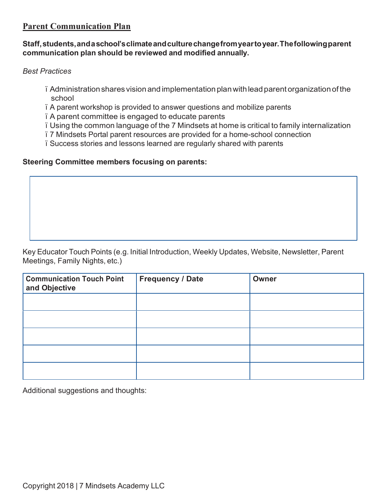## **Parent Communication Plan**

### **Staff,students,andaschool'sclimateandculturechangefromyeartoyear.Thefollowingparent communication plan should be reviewed and modified annually.**

*Best Practices*

- ï Administrationshares visionandimplementationplanwithleadparent organizationof the school
- ï A parent workshop is provided to answer questions and mobilize parents
- ï A parent committee is engaged to educate parents
- ï Using the common language of the 7 Mindsets at home is critical to family internalization
- ï 7 Mindsets Portal parent resources are provided for a home-school connection
- ï Success stories and lessons learned are regularly shared with parents

## **Steering Committee members focusing on parents:**

Key Educator Touch Points (e.g. Initial Introduction, Weekly Updates, Website, Newsletter, Parent Meetings, Family Nights, etc.)

| <b>Communication Touch Point</b><br>and Objective | <b>Frequency / Date</b> | Owner |
|---------------------------------------------------|-------------------------|-------|
|                                                   |                         |       |
|                                                   |                         |       |
|                                                   |                         |       |
|                                                   |                         |       |
|                                                   |                         |       |

Additional suggestions and thoughts: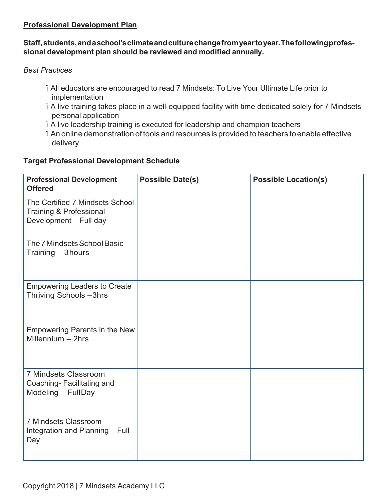## **Professional Development Plan**

## **Staff,students,andaschool'sclimateandculturechangefromyeartoyear.Thefollowingprofessional development plan should be reviewed and modified annually.**

## *Best Practices*

- ï All educators are encouraged to read 7 Mindsets: To Live Your Ultimate Life prior to implementation
- ï A live training takes place in a well-equipped facility with time dedicated solely for 7 Mindsets personal application
- ï A live leadership training is executed for leadership and champion teachers
- ï An online demonstration of tools and resources is provided to teachers toenable effective delivery

## **Target Professional Development Schedule**

| <b>Professional Development</b><br><b>Offered</b>                                    | <b>Possible Date(s)</b> | <b>Possible Location(s)</b> |
|--------------------------------------------------------------------------------------|-------------------------|-----------------------------|
| The Certified 7 Mindsets School<br>Training & Professional<br>Development - Full day |                         |                             |
| The 7 Mindsets School Basic<br>Training - 3 hours                                    |                         |                             |
| <b>Empowering Leaders to Create</b><br>Thriving Schools-3hrs                         |                         |                             |
| <b>Empowering Parents in the New</b><br>Millennium $-$ 2hrs                          |                         |                             |
| 7 Mindsets Classroom<br>Coaching-Facilitating and<br>Modeling - FullDay              |                         |                             |
| 7 Mindsets Classroom<br>Integration and Planning - Full<br>Day                       |                         |                             |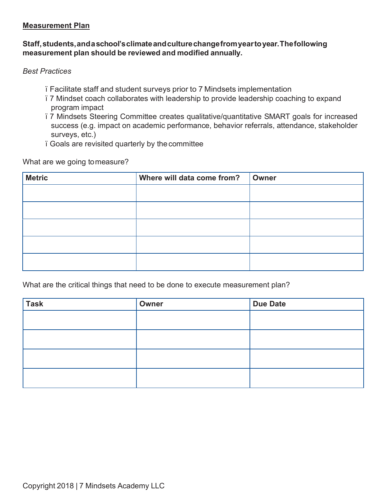#### **Measurement Plan**

### **Staff,students,andaschool'sclimateandculturechangefromyeartoyear.Thefollowing measurement plan should be reviewed and modified annually.**

*Best Practices*

- ï Facilitate staff and student surveys prior to 7 Mindsets implementation
- ï 7 Mindset coach collaborates with leadership to provide leadership coaching to expand program impact
- ï 7 Mindsets Steering Committee creates qualitative/quantitative SMART goals for increased success (e.g. impact on academic performance, behavior referrals, attendance, stakeholder surveys, etc.)
- ï Goals are revisited quarterly by the committee

What are we going tomeasure?

| <b>Metric</b> | Where will data come from? | <b>Owner</b> |
|---------------|----------------------------|--------------|
|               |                            |              |
|               |                            |              |
|               |                            |              |
|               |                            |              |
|               |                            |              |

What are the critical things that need to be done to execute measurement plan?

| <b>Task</b> | Owner | <b>Due Date</b> |
|-------------|-------|-----------------|
|             |       |                 |
|             |       |                 |
|             |       |                 |
|             |       |                 |